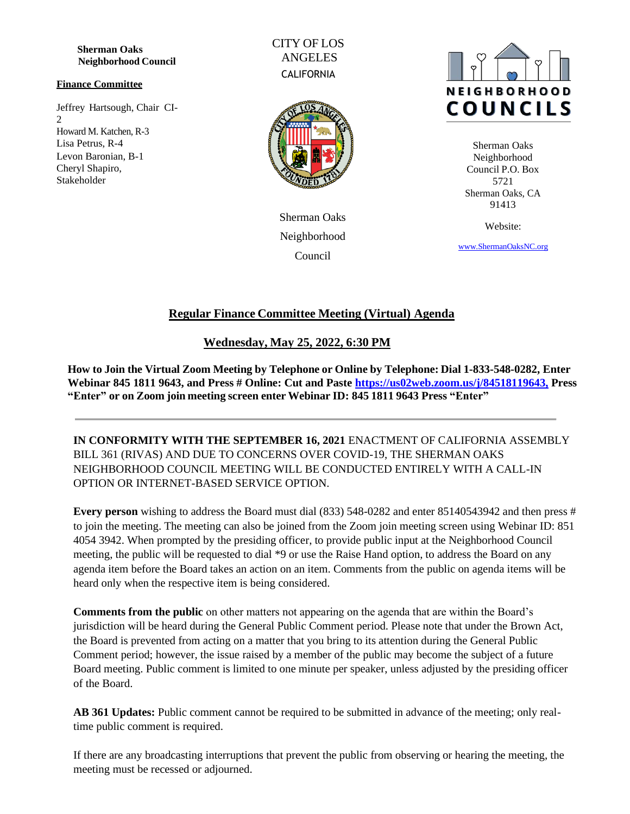**Sherman Oaks Neighborhood Council**

#### **Finance Committee**

Jeffrey Hartsough, Chair CI-2 Howard M. Katchen, R-3 Lisa Petrus, R-4 Levon Baronian, B-1 Cheryl Shapiro, Stakeholder

CITY OF LOS ANGELES **CALIFORNIA** 



Sherman Oaks Neighborhood Council



Sherman Oaks Neighborhood Council P.O. Box 5721 Sherman Oaks, CA 91413

Website:

[www.ShermanOaksNC.](http://www.shermanoaksnc./)[org](http://www.shermanoaksnc.org/)

# **Regular Finance Committee Meeting (Virtual) Agenda**

### **Wednesday, May 25, 2022, 6:30 PM**

**How to Join the Virtual Zoom Meeting by Telephone or Online by Telephone: Dial 1-833-548-0282, Enter Webinar 845 1811 9643, and Press # Online: Cut and Paste [https://us02web.zoom.us/j/84518119643,](https://us02web.zoom.us/j/84518119643) Press "Enter" or on Zoom join meeting screen enter Webinar ID: 845 1811 9643 Press "Enter"**

**IN CONFORMITY WITH THE SEPTEMBER 16, 2021** ENACTMENT OF CALIFORNIA ASSEMBLY BILL 361 (RIVAS) AND DUE TO CONCERNS OVER COVID-19, THE SHERMAN OAKS NEIGHBORHOOD COUNCIL MEETING WILL BE CONDUCTED ENTIRELY WITH A CALL-IN OPTION OR INTERNET-BASED SERVICE OPTION.

**Every person** wishing to address the Board must dial (833) 548-0282 and enter 85140543942 and then press # to join the meeting. The meeting can also be joined from the Zoom join meeting screen using Webinar ID: 851 4054 3942. When prompted by the presiding officer, to provide public input at the Neighborhood Council meeting, the public will be requested to dial \*9 or use the Raise Hand option, to address the Board on any agenda item before the Board takes an action on an item. Comments from the public on agenda items will be heard only when the respective item is being considered.

**Comments from the public** on other matters not appearing on the agenda that are within the Board's jurisdiction will be heard during the General Public Comment period. Please note that under the Brown Act, the Board is prevented from acting on a matter that you bring to its attention during the General Public Comment period; however, the issue raised by a member of the public may become the subject of a future Board meeting. Public comment is limited to one minute per speaker, unless adjusted by the presiding officer of the Board.

**AB 361 Updates:** Public comment cannot be required to be submitted in advance of the meeting; only realtime public comment is required.

If there are any broadcasting interruptions that prevent the public from observing or hearing the meeting, the meeting must be recessed or adjourned.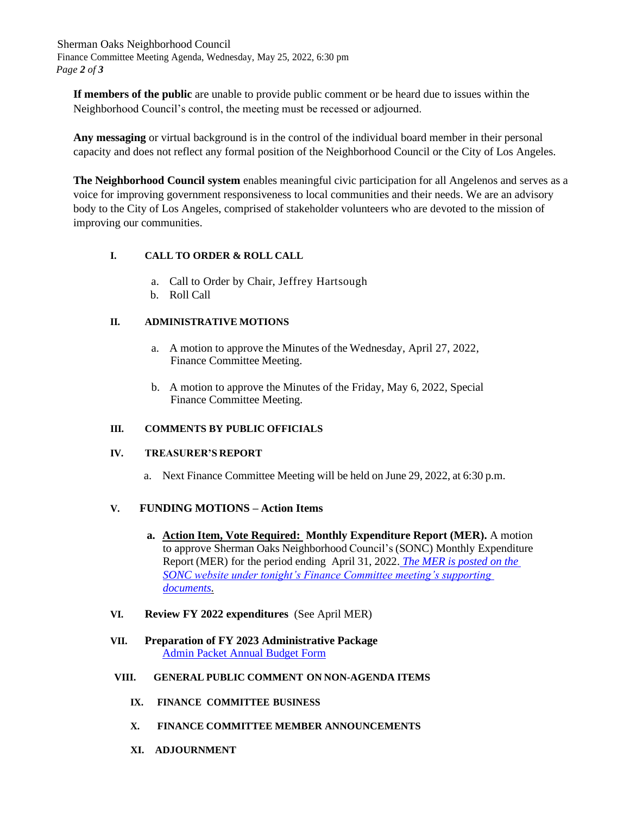Sherman Oaks Neighborhood Council Finance Committee Meeting Agenda, Wednesday, May 25, 2022, 6:30 pm *Page 2 of 3*

**If members of the public** are unable to provide public comment or be heard due to issues within the Neighborhood Council's control, the meeting must be recessed or adjourned.

**Any messaging** or virtual background is in the control of the individual board member in their personal capacity and does not reflect any formal position of the Neighborhood Council or the City of Los Angeles.

**The Neighborhood Council system** enables meaningful civic participation for all Angelenos and serves as a voice for improving government responsiveness to local communities and their needs. We are an advisory body to the City of Los Angeles, comprised of stakeholder volunteers who are devoted to the mission of improving our communities.

### **I. CALL TO ORDER & ROLL CALL**

- a. Call to Order by Chair, Jeffrey Hartsough
- b. Roll Call

## **II. ADMINISTRATIVE MOTIONS**

- a. A motion to approve the Minutes of the Wednesday, April 27, 2022, Finance Committee Meeting.
- b. A motion to approve the Minutes of the Friday, May 6, 2022, Special Finance Committee Meeting.

### **III. COMMENTS BY PUBLIC OFFICIALS**

### **IV. TREASURER'S REPORT**

a. Next Finance Committee Meeting will be held on June 29, 2022, at 6:30 p.m.

### **V. FUNDING MOTIONS – Action Items**

- **a. Action Item, Vote Required: Monthly Expenditure Report (MER).** A motion to approve Sherman Oaks Neighborhood Council's (SONC) Monthly Expenditure Report (MER) for the period ending April 31, 2022. *[The MER is posted on the](https://www.shermanoaksnc.org/assets/documents/7/meeting628a4b7c4f897.pdf) SONC [website under tonight's Finance Committee meeting's supporting](https://www.shermanoaksnc.org/assets/documents/7/meeting628a4b7c4f897.pdf)  [documents.](https://www.shermanoaksnc.org/assets/documents/7/meeting628a4b7c4f897.pdf)*
- **VI. Review FY 2022 expenditures** (See April MER)
- **VII. Preparation of FY 2023 Administrative Package** [Admin Packet Annual Budget Form](https://www.shermanoaksnc.org/assets/documents/7/meeting628a4efad01e4.pdf)
- **VIII. GENERAL PUBLIC COMMENT ON NON-AGENDA ITEMS**
	- **IX. FINANCE COMMITTEE BUSINESS**
	- **X. FINANCE COMMITTEE MEMBER ANNOUNCEMENTS**
	- **XI. ADJOURNMENT**